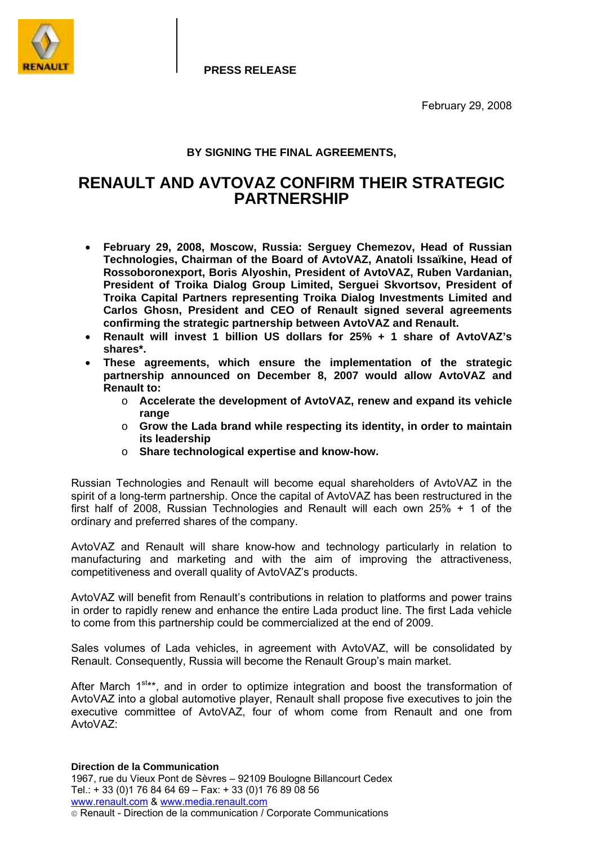

**PRESS RELEASE**

February 29, 2008

## **BY SIGNING THE FINAL AGREEMENTS,**

# **RENAULT AND AVTOVAZ CONFIRM THEIR STRATEGIC PARTNERSHIP**

- **February 29, 2008, Moscow, Russia: Serguey Chemezov, Head of Russian Technologies, Chairman of the Board of AvtoVAZ, Anatoli Issaïkine, Head of Rossoboronexport, Boris Alyoshin, President of AvtoVAZ, Ruben Vardanian, President of Troika Dialog Group Limited, Serguei Skvortsov, President of Troika Capital Partners representing Troika Dialog Investments Limited and Carlos Ghosn, President and CEO of Renault signed several agreements confirming the strategic partnership between AvtoVAZ and Renault.**
- **Renault will invest 1 billion US dollars for 25% + 1 share of AvtoVAZ's shares\*.**
- **These agreements, which ensure the implementation of the strategic partnership announced on December 8, 2007 would allow AvtoVAZ and Renault to:** 
	- o **Accelerate the development of AvtoVAZ, renew and expand its vehicle range**
	- o **Grow the Lada brand while respecting its identity, in order to maintain its leadership**
	- o **Share technological expertise and know-how.**

Russian Technologies and Renault will become equal shareholders of AvtoVAZ in the spirit of a long-term partnership. Once the capital of AvtoVAZ has been restructured in the first half of 2008, Russian Technologies and Renault will each own 25% + 1 of the ordinary and preferred shares of the company.

AvtoVAZ and Renault will share know-how and technology particularly in relation to manufacturing and marketing and with the aim of improving the attractiveness, competitiveness and overall quality of AvtoVAZ's products.

AvtoVAZ will benefit from Renault's contributions in relation to platforms and power trains in order to rapidly renew and enhance the entire Lada product line. The first Lada vehicle to come from this partnership could be commercialized at the end of 2009.

Sales volumes of Lada vehicles, in agreement with AvtoVAZ, will be consolidated by Renault. Consequently, Russia will become the Renault Groupís main market.

After March  $1^{st**}$ , and in order to optimize integration and boost the transformation of AvtoVAZ into a global automotive player, Renault shall propose five executives to join the executive committee of AvtoVAZ, four of whom come from Renault and one from AvtoVA<sub>7</sub>.

#### **Direction de la Communication**

1967, rue du Vieux Pont de Sèvres - 92109 Boulogne Billancourt Cedex Tel.: + 33 (0)1 76 84 64 69 – Fax: + 33 (0)1 76 89 08 56 www.renault.com & www.media.renault.com Renault - Direction de la communication / Corporate Communications